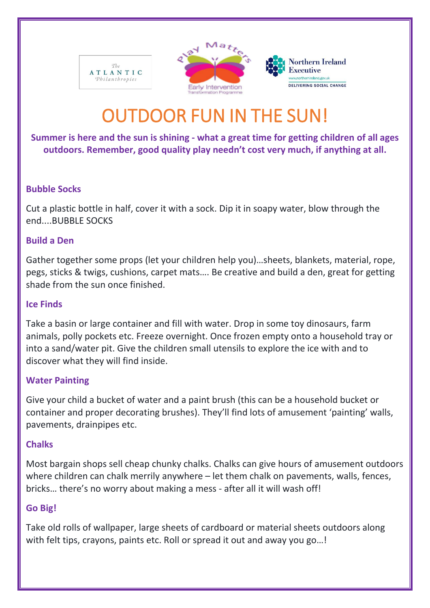





# OUTDOOR FUN IN THE SUN!

# **Summer is here and the sun is shining - what a great time for getting children of all ages outdoors. Remember, good quality play needn't cost very much, if anything at all.**

# **Bubble Socks**

Cut a plastic bottle in half, cover it with a sock. Dip it in soapy water, blow through the end....BUBBLE SOCKS

# **Build a Den**

Gather together some props (let your children help you)…sheets, blankets, material, rope, pegs, sticks & twigs, cushions, carpet mats…. Be creative and build a den, great for getting shade from the sun once finished.

# **Ice Finds**

Take a basin or large container and fill with water. Drop in some toy dinosaurs, farm animals, polly pockets etc. Freeze overnight. Once frozen empty onto a household tray or into a sand/water pit. Give the children small utensils to explore the ice with and to discover what they will find inside.

# **Water Painting**

Give your child a bucket of water and a paint brush (this can be a household bucket or container and proper decorating brushes). They'll find lots of amusement 'painting' walls, pavements, drainpipes etc.

# **Chalks**

Most bargain shops sell cheap chunky chalks. Chalks can give hours of amusement outdoors where children can chalk merrily anywhere – let them chalk on pavements, walls, fences, bricks… there's no worry about making a mess - after all it will wash off!

# **Go Big!**

Take old rolls of wallpaper, large sheets of cardboard or material sheets outdoors along with felt tips, crayons, paints etc. Roll or spread it out and away you go...!